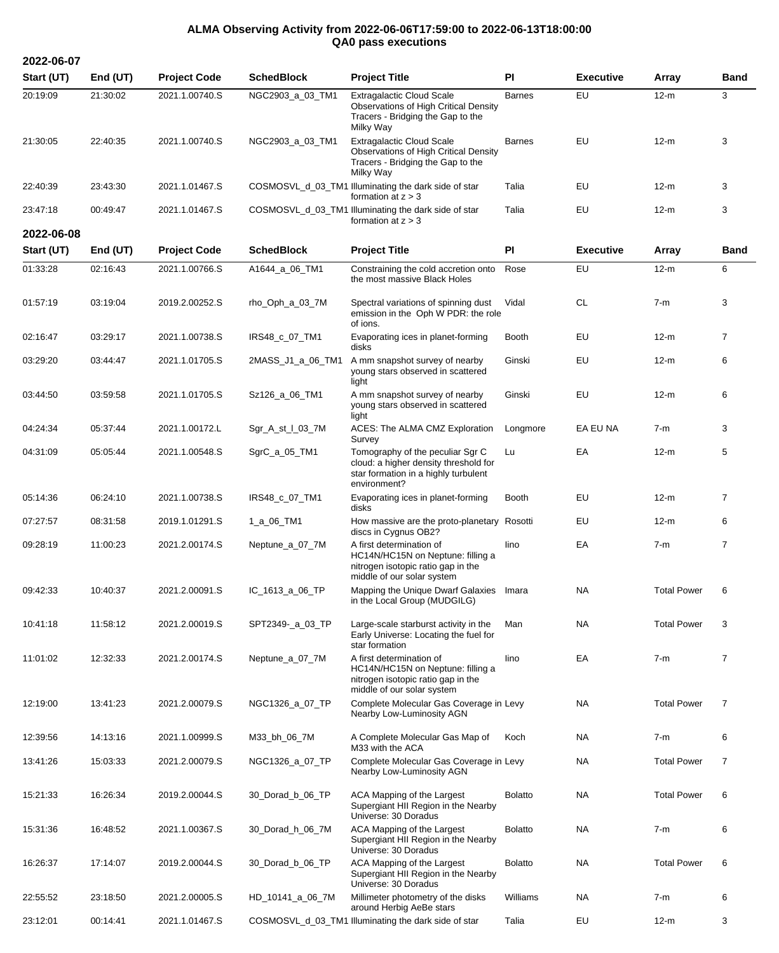## **ALMA Observing Activity from 2022-06-06T17:59:00 to 2022-06-13T18:00:00 QA0 pass executions**

**2022-06-07 Start (UT) End (UT) Project Code SchedBlock Project Title PI Executive Array Band** 20:19:09 21:30:02 2021.1.00740.S NGC2903\_a\_03\_TM1 Extragalactic Cloud Scale Observations of High Critical Density Tracers - Bridging the Gap to the Milky Way Barnes EU 12-m 3 21:30:05 22:40:35 2021.1.00740.S NGC2903\_a\_03\_TM1 Extragalactic Cloud Scale Observations of High Critical Density Tracers - Bridging the Gap to the Milky Way Barnes EU 12-m 3 22:40:39 23:43:30 2021.1.01467.S COSMOSVL\_d\_03\_TM1 Illuminating the dark side of star formation at  $z > 3$ Talia EU 12-m 3 23:47:18 00:49:47 2021.1.01467.S COSMOSVL\_d\_03\_TM1 Illuminating the dark side of star formation at  $z > 3$ Talia EU 12-m 3 **2022-06-08 Start (UT) End (UT) Project Code SchedBlock Project Title PI Executive Array Band** 01:33:28 02:16:43 2021.1.00766.S A1644\_a\_06\_TM1 Constraining the cold accretion onto the most massive Black Holes Rose EU 12-m 6 01:57:19 03:19:04 2019.2.00252.S rho\_Oph\_a\_03\_7M Spectral variations of spinning dust emission in the Oph W PDR: the role of ions. Vidal CL 7-m 3 02:16:47 03:29:17 2021.1.00738.S IRS48\_c\_07\_TM1 Evaporating ices in planet-forming disks Booth EU 12-m 7 03:29:20 03:44:47 2021.1.01705.S 2MASS\_J1\_a\_06\_TM1 A mm snapshot survey of nearby young stars observed in scattered light Ginski EU 12-m 6 03:44:50 03:59:58 2021.1.01705.S Sz126\_a\_06\_TM1 A mm snapshot survey of nearby young stars observed in scattered light Ginski EU 12-m 6 04:24:34 05:37:44 2021.1.00172.L Sgr\_A\_st\_l\_03\_7M ACES: The ALMA CMZ Exploration Survey Longmore EA EU NA 7-m 3 04:31:09 05:05:44 2021.1.00548.S SgrC\_a\_05\_TM1 Tomography of the peculiar Sgr C cloud: a higher density threshold for star formation in a highly turbulent environment? Lu EA 12-m 5 05:14:36 06:24:10 2021.1.00738.S IRS48<sub>\_C\_0</sub>7\_TM1 Evaporating ices in planet-forming disks Booth EU 12-m 7 07:27:57 08:31:58 2019.1.01291.S 1\_a\_06\_TM1 How massive are the proto-planetary Rosotti EU 12-m 6 discs in Cygnus OB2? 09:28:19 11:00:23 2021.2.00174.S Neptune\_a\_07\_7M A first determination of HC14N/HC15N on Neptune: filling a nitrogen isotopic ratio gap in the middle of our solar system Iino EA 7-m 7 09:42:33 10:40:37 2021.2.00091.S IC\_1613\_a\_06\_TP Mapping the Unique Dwarf Galaxies in the Local Group (MUDGILG) Imara NA Total Power 6 10:41:18 11:58:12 2021.2.00019.S SPT2349-\_a\_03\_TP Large-scale starburst activity in the Early Universe: Locating the fuel for star formation Man NA Total Power 3 11:01:02 12:32:33 2021.2.00174.S Neptune\_a\_07\_7M A first determination of HC14N/HC15N on Neptune: filling a nitrogen isotopic ratio gap in the middle of our solar system Iino EA 7-m 7 12:19:00 13:41:23 2021.2.00079.S NGC1326\_a\_07\_TP Complete Molecular Gas Coverage in Levy Nearby Low-Luminosity AGN NA Total Power 7 12:39:56 14:13:16 2021.1.00999.S M33\_bh\_06\_7M A Complete Molecular Gas Map of M33 with the ACA Koch NA 7-m 6 13:41:26 15:03:33 2021.2.00079.S NGC1326\_a\_07\_TP Complete Molecular Gas Coverage in Levy Nearby Low-Luminosity AGN NA Total Power 7 15:21:33 16:26:34 2019.2.00044.S 30\_Dorad\_b\_06\_TP ACA Mapping of the Largest Supergiant HII Region in the Nearby Universe: 30 Doradus Bolatto NA Total Power 6 15:31:36 16:48:52 2021.1.00367.S 30\_Dorad\_h\_06\_7M ACA Mapping of the Largest Supergiant HII Region in the Nearby Universe: 30 Doradus Bolatto NA 7-m 6 16:26:37 17:14:07 2019.2.00044.S 30\_Dorad\_b\_06\_TP ACA Mapping of the Largest Supergiant HII Region in the Nearby Universe: 30 Doradus Bolatto NA Total Power 6 22:55:52 23:18:50 2021.2.00005.S HD\_10141\_a\_06\_7M Millimeter photometry of the disks around Herbig AeBe stars Williams NA 7-m 6 23:12:01 00:14:41 2021.1.01467.S COSMOSVL\_d\_03\_TM1 Illuminating the dark side of star Talia EU 12-m 3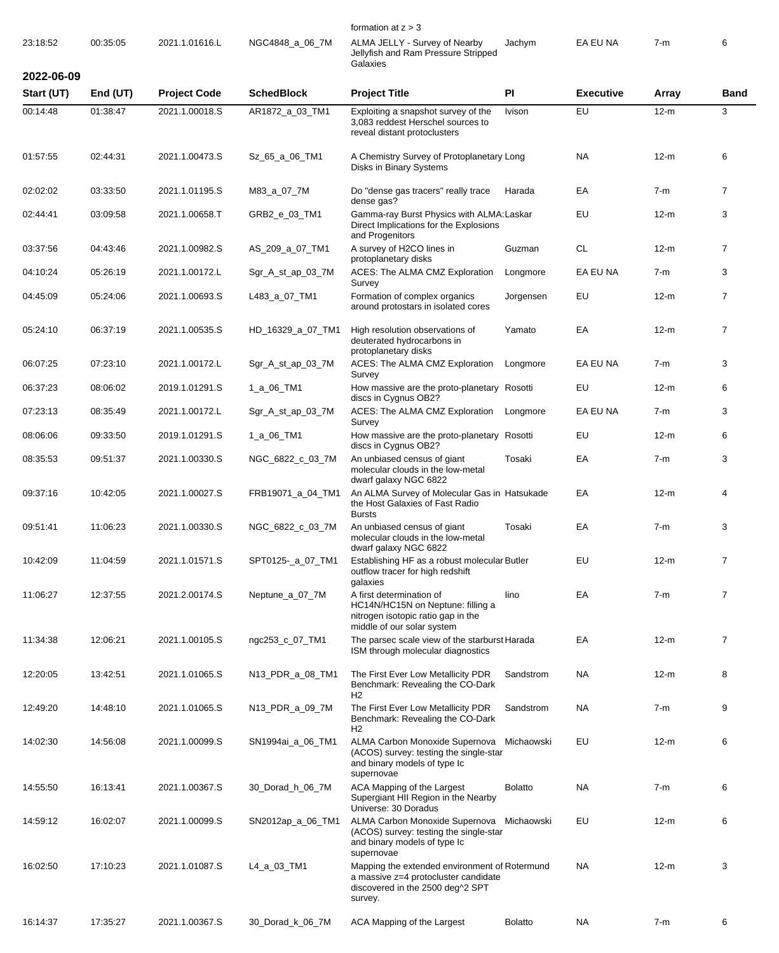|            |          |                     |                   | formation at $z > 3$                                                                                                                 |                |                  |        |                |
|------------|----------|---------------------|-------------------|--------------------------------------------------------------------------------------------------------------------------------------|----------------|------------------|--------|----------------|
| 23:18:52   | 00:35:05 | 2021.1.01616.L      | NGC4848_a_06_7M   | ALMA JELLY - Survey of Nearby<br>Jellyfish and Ram Pressure Stripped<br>Galaxies                                                     | Jachym         | EA EU NA         | $7-m$  | 6              |
| 2022-06-09 |          |                     |                   |                                                                                                                                      |                |                  |        |                |
| Start (UT) | End (UT) | <b>Project Code</b> | <b>SchedBlock</b> | <b>Project Title</b>                                                                                                                 | PI             | <b>Executive</b> | Array  | <b>Band</b>    |
| 00:14:48   | 01:38:47 | 2021.1.00018.S      | AR1872_a_03_TM1   | Exploiting a snapshot survey of the<br>3,083 reddest Herschel sources to<br>reveal distant protoclusters                             | Ivison         | EU               | $12-m$ | 3              |
| 01:57:55   | 02:44:31 | 2021.1.00473.S      | Sz_65_a_06_TM1    | A Chemistry Survey of Protoplanetary Long<br>Disks in Binary Systems                                                                 |                | NA               | $12-m$ | 6              |
| 02:02:02   | 03:33:50 | 2021.1.01195.S      | M83_a_07_7M       | Do "dense gas tracers" really trace<br>dense gas?                                                                                    | Harada         | EA               | $7-m$  | $\overline{7}$ |
| 02:44:41   | 03:09:58 | 2021.1.00658.T      | GRB2_e_03_TM1     | Gamma-ray Burst Physics with ALMA: Laskar<br>Direct Implications for the Explosions<br>and Progenitors                               |                | EU               | $12-m$ | 3              |
| 03:37:56   | 04:43:46 | 2021.1.00982.S      | AS_209_a_07_TM1   | A survey of H2CO lines in<br>protoplanetary disks                                                                                    | Guzman         | <b>CL</b>        | $12-m$ | $\overline{7}$ |
| 04:10:24   | 05:26:19 | 2021.1.00172.L      | Sgr_A_st_ap_03_7M | ACES: The ALMA CMZ Exploration<br>Survey                                                                                             | Longmore       | EA EU NA         | $7-m$  | 3              |
| 04:45:09   | 05:24:06 | 2021.1.00693.S      | L483_a_07_TM1     | Formation of complex organics<br>around protostars in isolated cores                                                                 | Jorgensen      | EU               | $12-m$ | $\overline{7}$ |
| 05:24:10   | 06:37:19 | 2021.1.00535.S      | HD_16329_a_07_TM1 | High resolution observations of<br>deuterated hydrocarbons in<br>protoplanetary disks                                                | Yamato         | EA               | $12-m$ | $\overline{7}$ |
| 06:07:25   | 07:23:10 | 2021.1.00172.L      | Sgr_A_st_ap_03_7M | ACES: The ALMA CMZ Exploration<br>Survey                                                                                             | Longmore       | EA EU NA         | $7-m$  | 3              |
| 06:37:23   | 08:06:02 | 2019.1.01291.S      | 1_a_06_TM1        | How massive are the proto-planetary Rosotti<br>discs in Cygnus OB2?                                                                  |                | EU               | $12-m$ | 6              |
| 07:23:13   | 08:35:49 | 2021.1.00172.L      | Sgr_A_st_ap_03_7M | ACES: The ALMA CMZ Exploration<br>Survey                                                                                             | Longmore       | EA EU NA         | $7-m$  | 3              |
| 08:06:06   | 09:33:50 | 2019.1.01291.S      | 1_a_06_TM1        | How massive are the proto-planetary Rosotti<br>discs in Cygnus OB2?                                                                  |                | EU               | $12-m$ | 6              |
| 08:35:53   | 09:51:37 | 2021.1.00330.S      | NGC_6822_c_03_7M  | An unbiased census of giant<br>molecular clouds in the low-metal<br>dwarf galaxy NGC 6822                                            | Tosaki         | EA               | $7-m$  | 3              |
| 09:37:16   | 10:42:05 | 2021.1.00027.S      | FRB19071_a_04_TM1 | An ALMA Survey of Molecular Gas in Hatsukade<br>the Host Galaxies of Fast Radio<br><b>Bursts</b>                                     |                | EA               | $12-m$ | $\overline{4}$ |
| 09:51:41   | 11:06:23 | 2021.1.00330.S      | NGC_6822_c_03_7M  | An unbiased census of giant<br>molecular clouds in the low-metal<br>dwarf galaxy NGC 6822                                            | Tosaki         | EA               | $7-m$  | 3              |
| 10:42:09   | 11:04:59 | 2021.1.01571.S      | SPT0125-_a_07_TM1 | Establishing HF as a robust molecular Butler<br>outflow tracer for high redshift<br>galaxies                                         |                | EU               | $12-m$ | $\overline{7}$ |
| 11:06:27   | 12:37:55 | 2021.2.00174.S      | Neptune_a_07_7M   | A first determination of<br>HC14N/HC15N on Neptune: filling a<br>nitrogen isotopic ratio gap in the<br>middle of our solar system    | lino           | EA               | $7-m$  | $\overline{7}$ |
| 11:34:38   | 12:06:21 | 2021.1.00105.S      | ngc253_c_07_TM1   | The parsec scale view of the starburst Harada<br>ISM through molecular diagnostics                                                   |                | EA               | $12-m$ | $\overline{7}$ |
| 12:20:05   | 13:42:51 | 2021.1.01065.S      | N13_PDR_a_08_TM1  | The First Ever Low Metallicity PDR<br>Benchmark: Revealing the CO-Dark<br>H <sub>2</sub>                                             | Sandstrom      | <b>NA</b>        | $12-m$ | 8              |
| 12:49:20   | 14:48:10 | 2021.1.01065.S      | N13_PDR_a_09_7M   | The First Ever Low Metallicity PDR<br>Benchmark: Revealing the CO-Dark<br>H <sub>2</sub>                                             | Sandstrom      | <b>NA</b>        | $7-m$  | 9              |
| 14:02:30   | 14:56:08 | 2021.1.00099.S      | SN1994ai_a_06_TM1 | ALMA Carbon Monoxide Supernova<br>(ACOS) survey: testing the single-star<br>and binary models of type Ic<br>supernovae               | Michaowski     | EU               | $12-m$ | 6              |
| 14:55:50   | 16:13:41 | 2021.1.00367.S      | 30_Dorad_h_06_7M  | ACA Mapping of the Largest<br>Supergiant HII Region in the Nearby<br>Universe: 30 Doradus                                            | <b>Bolatto</b> | NA.              | $7-m$  | 6              |
| 14:59:12   | 16:02:07 | 2021.1.00099.S      | SN2012ap_a_06_TM1 | ALMA Carbon Monoxide Supernova Michaowski<br>(ACOS) survey: testing the single-star<br>and binary models of type Ic<br>supernovae    |                | EU               | $12-m$ | 6              |
| 16:02:50   | 17:10:23 | 2021.1.01087.S      | L4_a_03_TM1       | Mapping the extended environment of Rotermund<br>a massive z=4 protocluster candidate<br>discovered in the 2500 deg^2 SPT<br>survey. |                | <b>NA</b>        | $12-m$ | 3              |
| 16:14:37   | 17:35:27 | 2021.1.00367.S      | 30_Dorad_k_06_7M  | ACA Mapping of the Largest                                                                                                           | <b>Bolatto</b> | <b>NA</b>        | $7-m$  | 6              |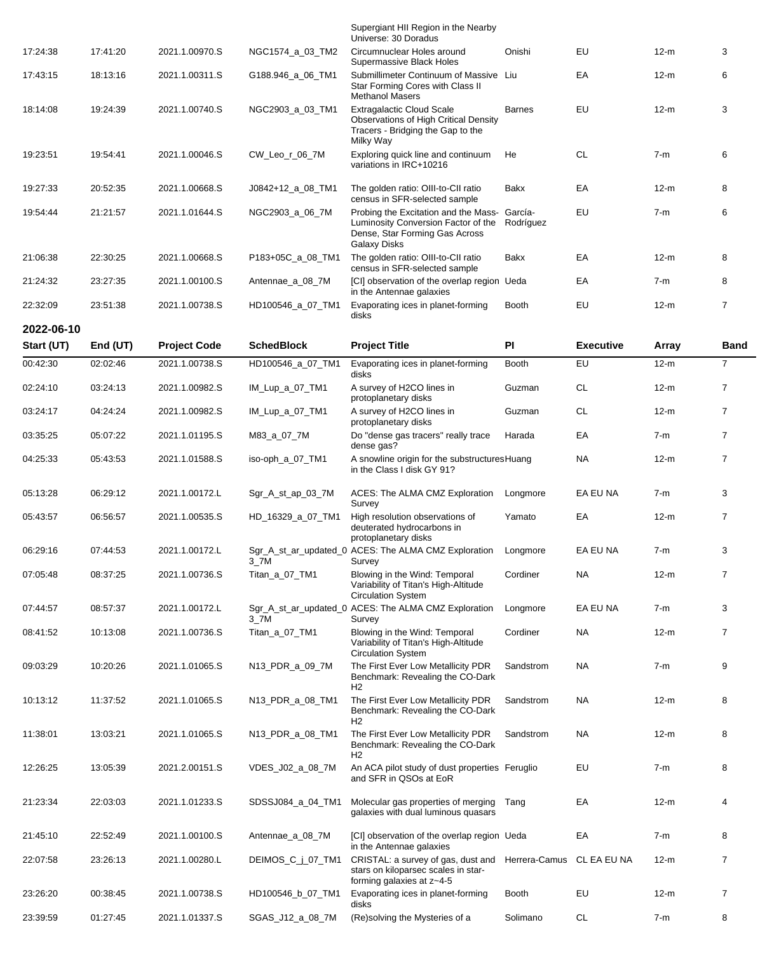|            |          |                     |                     | Supergiant HII Region in the Nearby<br>Universe: 30 Doradus                                                                                           |               |                  |        |                |
|------------|----------|---------------------|---------------------|-------------------------------------------------------------------------------------------------------------------------------------------------------|---------------|------------------|--------|----------------|
| 17:24:38   | 17:41:20 | 2021.1.00970.S      | NGC1574_a_03_TM2    | Circumnuclear Holes around<br>Supermassive Black Holes                                                                                                | Onishi        | EU               | $12-m$ | 3              |
| 17:43:15   | 18:13:16 | 2021.1.00311.S      | G188.946_a_06_TM1   | Submillimeter Continuum of Massive Liu<br>Star Forming Cores with Class II                                                                            |               | EA               | $12-m$ | 6              |
| 18:14:08   | 19:24:39 | 2021.1.00740.S      | NGC2903_a_03_TM1    | <b>Methanol Masers</b><br><b>Extragalactic Cloud Scale</b><br>Observations of High Critical Density<br>Tracers - Bridging the Gap to the<br>Milky Way | <b>Barnes</b> | EU               | $12-m$ | 3              |
| 19:23:51   | 19:54:41 | 2021.1.00046.S      | CW_Leo_r_06_7M      | Exploring quick line and continuum<br>variations in IRC+10216                                                                                         | He            | <b>CL</b>        | $7-m$  | 6              |
| 19:27:33   | 20:52:35 | 2021.1.00668.S      | J0842+12_a_08_TM1   | The golden ratio: OIII-to-CII ratio<br>census in SFR-selected sample                                                                                  | Bakx          | ЕA               | $12-m$ | 8              |
| 19:54:44   | 21:21:57 | 2021.1.01644.S      | NGC2903_a_06_7M     | Probing the Excitation and the Mass- García-<br>Luminosity Conversion Factor of the<br>Dense, Star Forming Gas Across<br><b>Galaxy Disks</b>          | Rodríguez     | EU               | $7-m$  | 6              |
| 21:06:38   | 22:30:25 | 2021.1.00668.S      | P183+05C_a_08_TM1   | The golden ratio: OIII-to-CII ratio<br>census in SFR-selected sample                                                                                  | Bakx          | EA               | $12-m$ | 8              |
| 21:24:32   | 23:27:35 | 2021.1.00100.S      | Antennae_a_08_7M    | [CI] observation of the overlap region Ueda<br>in the Antennae galaxies                                                                               |               | ЕA               | $7-m$  | 8              |
| 22:32:09   | 23:51:38 | 2021.1.00738.S      | HD100546_a_07_TM1   | Evaporating ices in planet-forming<br>disks                                                                                                           | <b>Booth</b>  | EU               | $12-m$ | $\overline{7}$ |
| 2022-06-10 |          |                     |                     |                                                                                                                                                       |               |                  |        |                |
| Start (UT) | End (UT) | <b>Project Code</b> | <b>SchedBlock</b>   | <b>Project Title</b>                                                                                                                                  | <b>PI</b>     | <b>Executive</b> | Array  | <b>Band</b>    |
| 00:42:30   | 02:02:46 | 2021.1.00738.S      | HD100546_a_07_TM1   | Evaporating ices in planet-forming<br>disks                                                                                                           | Booth         | EU               | $12-m$ | $\overline{7}$ |
| 02:24:10   | 03:24:13 | 2021.1.00982.S      | IM_Lup_a_07_TM1     | A survey of H2CO lines in<br>protoplanetary disks                                                                                                     | Guzman        | <b>CL</b>        | $12-m$ | $\overline{7}$ |
| 03:24:17   | 04:24:24 | 2021.1.00982.S      | IM_Lup_a_07_TM1     | A survey of H2CO lines in<br>protoplanetary disks                                                                                                     | Guzman        | <b>CL</b>        | $12-m$ | $\overline{7}$ |
| 03:35:25   | 05:07:22 | 2021.1.01195.S      | M83_a_07_7M         | Do "dense gas tracers" really trace<br>dense gas?                                                                                                     | Harada        | EA               | 7-m    | $\overline{7}$ |
| 04:25:33   | 05:43:53 | 2021.1.01588.S      | iso-oph_a_07_TM1    | A snowline origin for the substructures Huang<br>in the Class I disk GY 91?                                                                           |               | <b>NA</b>        | $12-m$ | $\overline{7}$ |
| 05:13:28   | 06:29:12 | 2021.1.00172.L      | Sgr_A_st_ap_03_7M   | ACES: The ALMA CMZ Exploration<br>Survey                                                                                                              | Longmore      | EA EU NA         | $7-m$  | 3              |
| 05:43:57   | 06:56:57 | 2021.1.00535.S      | HD_16329_a_07_TM1   | High resolution observations of<br>deuterated hydrocarbons in<br>protoplanetary disks                                                                 | Yamato        | ЕA               | $12-m$ | $\overline{7}$ |
| 06:29:16   | 07:44:53 | 2021.1.00172.L      | $3$ <sub>-7</sub> M | Sgr_A_st_ar_updated_0 ACES: The ALMA CMZ Exploration<br>Survey                                                                                        | Longmore      | EA EU NA         | $7-m$  | 3              |
| 07:05:48   | 08:37:25 | 2021.1.00736.S      | Titan_a_07_TM1      | Blowing in the Wind: Temporal<br>Variability of Titan's High-Altitude<br><b>Circulation System</b>                                                    | Cordiner      | <b>NA</b>        | $12-m$ | $\overline{7}$ |
| 07:44:57   | 08:57:37 | 2021.1.00172.L      | $3$ <sub>-7</sub> M | Sgr_A_st_ar_updated_0 ACES: The ALMA CMZ Exploration<br>Survey                                                                                        | Longmore      | EA EU NA         | $7-m$  | 3              |
| 08:41:52   | 10:13:08 | 2021.1.00736.S      | Titan_a_07_TM1      | Blowing in the Wind: Temporal<br>Variability of Titan's High-Altitude<br><b>Circulation System</b>                                                    | Cordiner      | NA               | $12-m$ | $\overline{7}$ |
| 09:03:29   | 10:20:26 | 2021.1.01065.S      | N13_PDR_a_09_7M     | The First Ever Low Metallicity PDR<br>Benchmark: Revealing the CO-Dark<br>H2                                                                          | Sandstrom     | NA               | $7-m$  | 9              |
| 10:13:12   | 11:37:52 | 2021.1.01065.S      | N13_PDR_a_08_TM1    | The First Ever Low Metallicity PDR<br>Benchmark: Revealing the CO-Dark<br>H2                                                                          | Sandstrom     | NA               | $12-m$ | 8              |
| 11:38:01   | 13:03:21 | 2021.1.01065.S      | N13_PDR_a_08_TM1    | The First Ever Low Metallicity PDR<br>Benchmark: Revealing the CO-Dark<br>H2                                                                          | Sandstrom     | <b>NA</b>        | $12-m$ | 8              |
| 12:26:25   | 13:05:39 | 2021.2.00151.S      | VDES_J02_a_08_7M    | An ACA pilot study of dust properties Feruglio<br>and SFR in QSOs at EoR                                                                              |               | EU               | 7-m    | 8              |
| 21:23:34   | 22:03:03 | 2021.1.01233.S      | SDSSJ084_a_04_TM1   | Molecular gas properties of merging<br>galaxies with dual luminous quasars                                                                            | Tang          | EA               | $12-m$ | 4              |
| 21:45:10   | 22:52:49 | 2021.1.00100.S      | Antennae_a_08_7M    | [CI] observation of the overlap region Ueda<br>in the Antennae galaxies                                                                               |               | EA               | $7-m$  | 8              |
| 22:07:58   | 23:26:13 | 2021.1.00280.L      | DEIMOS_C_j_07_TM1   | CRISTAL: a survey of gas, dust and<br>stars on kiloparsec scales in star-<br>forming galaxies at z~4-5                                                | Herrera-Camus | CL EA EU NA      | $12-m$ | $\overline{7}$ |
| 23:26:20   | 00:38:45 | 2021.1.00738.S      | HD100546_b_07_TM1   | Evaporating ices in planet-forming<br>disks                                                                                                           | Booth         | EU               | $12-m$ | $\overline{7}$ |
| 23:39:59   | 01:27:45 | 2021.1.01337.S      | SGAS_J12_a_08_7M    | (Re)solving the Mysteries of a                                                                                                                        | Solimano      | <b>CL</b>        | $7-m$  | 8              |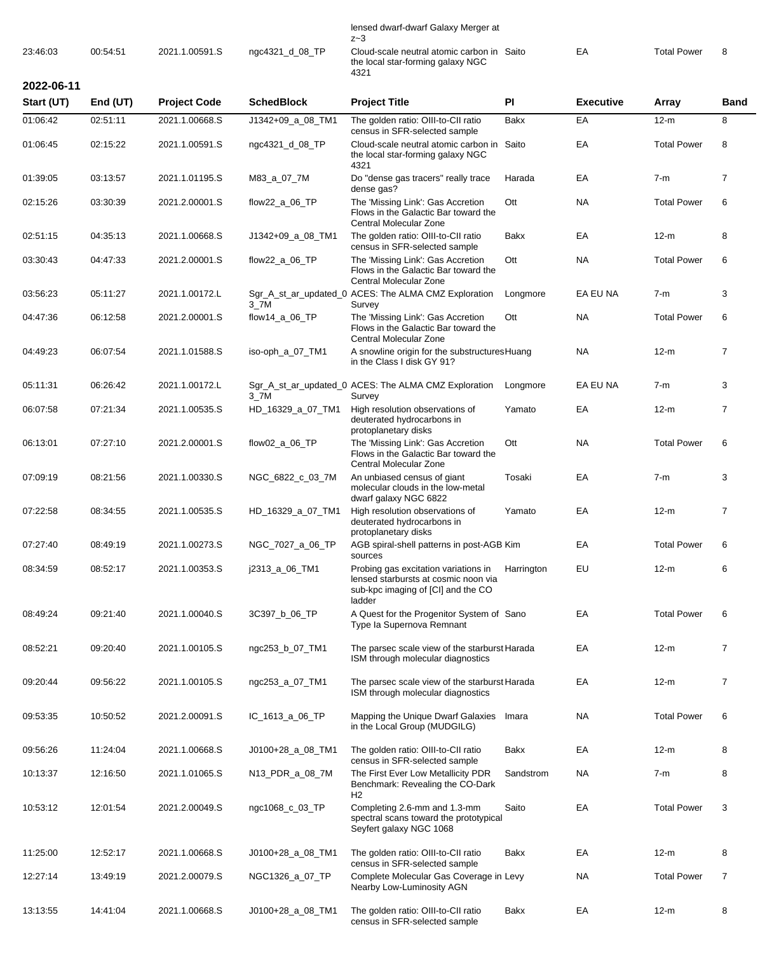## lensed dwarf-dwarf Galaxy Merger at z~3

|          |          |                |                 | ∠∼ບ                                                                                     |    |             |  |
|----------|----------|----------------|-----------------|-----------------------------------------------------------------------------------------|----|-------------|--|
| 23:46:03 | 00:54:51 | 2021.1.00591.S | ngc4321_d_08_TP | Cloud-scale neutral atomic carbon in Saito<br>the local star-forming galaxy NGC<br>4321 | EA | Total Power |  |

**2022-06-11**

| Start (UT) | End (UT) | <b>Project Code</b> | <b>SchedBlock</b>   | <b>Project Title</b>                                                                                                         | PI          | <b>Executive</b> | Array              | <b>Band</b>    |
|------------|----------|---------------------|---------------------|------------------------------------------------------------------------------------------------------------------------------|-------------|------------------|--------------------|----------------|
| 01:06:42   | 02:51:11 | 2021.1.00668.S      | J1342+09_a_08_TM1   | The golden ratio: OIII-to-CII ratio<br>census in SFR-selected sample                                                         | <b>Bakx</b> | EA               | $12-m$             | 8              |
| 01:06:45   | 02:15:22 | 2021.1.00591.S      | ngc4321_d_08_TP     | Cloud-scale neutral atomic carbon in Saito<br>the local star-forming galaxy NGC<br>4321                                      |             | EA               | <b>Total Power</b> | 8              |
| 01:39:05   | 03:13:57 | 2021.1.01195.S      | M83_a_07_7M         | Do "dense gas tracers" really trace<br>dense gas?                                                                            | Harada      | EA               | $7-m$              | 7              |
| 02:15:26   | 03:30:39 | 2021.2.00001.S      | flow22_a_06_TP      | The 'Missing Link': Gas Accretion<br>Flows in the Galactic Bar toward the<br>Central Molecular Zone                          | Ott         | <b>NA</b>        | <b>Total Power</b> | 6              |
| 02:51:15   | 04:35:13 | 2021.1.00668.S      | J1342+09_a_08_TM1   | The golden ratio: OIII-to-CII ratio<br>census in SFR-selected sample                                                         | Bakx        | EA               | $12-m$             | 8              |
| 03:30:43   | 04:47:33 | 2021.2.00001.S      | flow22_a_06_TP      | The 'Missing Link': Gas Accretion<br>Flows in the Galactic Bar toward the<br>Central Molecular Zone                          | Ott         | <b>NA</b>        | <b>Total Power</b> | 6              |
| 03:56:23   | 05:11:27 | 2021.1.00172.L      | $3$ <sub>-7</sub> M | Sgr_A_st_ar_updated_0 ACES: The ALMA CMZ Exploration<br>Survey                                                               | Longmore    | EA EU NA         | $7-m$              | 3              |
| 04:47:36   | 06:12:58 | 2021.2.00001.S      | flow14_a_06_TP      | The 'Missing Link': Gas Accretion<br>Flows in the Galactic Bar toward the<br>Central Molecular Zone                          | Ott         | <b>NA</b>        | <b>Total Power</b> | 6              |
| 04:49:23   | 06:07:54 | 2021.1.01588.S      | iso-oph_a_07_TM1    | A snowline origin for the substructures Huang<br>in the Class I disk GY 91?                                                  |             | NA               | $12-m$             | $\overline{7}$ |
| 05:11:31   | 06:26:42 | 2021.1.00172.L      | $3$ _7M             | Sgr_A_st_ar_updated_0 ACES: The ALMA CMZ Exploration<br>Survey                                                               | Longmore    | EA EU NA         | $7-m$              | 3              |
| 06:07:58   | 07:21:34 | 2021.1.00535.S      | HD_16329_a_07_TM1   | High resolution observations of<br>deuterated hydrocarbons in<br>protoplanetary disks                                        | Yamato      | EA               | $12-m$             | $\overline{7}$ |
| 06:13:01   | 07:27:10 | 2021.2.00001.S      | flow $02a$ 06 TP    | The 'Missing Link': Gas Accretion<br>Flows in the Galactic Bar toward the<br>Central Molecular Zone                          | Ott         | <b>NA</b>        | <b>Total Power</b> | 6              |
| 07:09:19   | 08:21:56 | 2021.1.00330.S      | NGC_6822_c_03_7M    | An unbiased census of giant<br>molecular clouds in the low-metal<br>dwarf galaxy NGC 6822                                    | Tosaki      | EA               | $7-m$              | 3              |
| 07:22:58   | 08:34:55 | 2021.1.00535.S      | HD_16329_a_07_TM1   | High resolution observations of<br>deuterated hydrocarbons in<br>protoplanetary disks                                        | Yamato      | EA               | $12-m$             | $\overline{7}$ |
| 07:27:40   | 08:49:19 | 2021.1.00273.S      | NGC_7027_a_06_TP    | AGB spiral-shell patterns in post-AGB Kim<br>sources                                                                         |             | EA               | <b>Total Power</b> | 6              |
| 08:34:59   | 08:52:17 | 2021.1.00353.S      | j2313_a_06_TM1      | Probing gas excitation variations in<br>lensed starbursts at cosmic noon via<br>sub-kpc imaging of [CI] and the CO<br>ladder | Harrington  | EU               | $12-m$             | 6              |
| 08:49:24   | 09:21:40 | 2021.1.00040.S      | 3C397_b_06_TP       | A Quest for the Progenitor System of Sano<br>Type la Supernova Remnant                                                       |             | EA               | <b>Total Power</b> | 6              |
| 08:52:21   | 09:20:40 | 2021.1.00105.S      | ngc253_b_07_TM1     | The parsec scale view of the starburst Harada<br>ISM through molecular diagnostics                                           |             | EA               | $12-m$             | 7              |
| 09:20:44   | 09:56:22 | 2021.1.00105.S      | ngc253_a_07_TM1     | The parsec scale view of the starburst Harada<br>ISM through molecular diagnostics                                           |             | EA               | $12-m$             | 7              |
| 09:53:35   | 10:50:52 | 2021.2.00091.S      | IC_1613_a_06_TP     | Mapping the Unique Dwarf Galaxies<br>in the Local Group (MUDGILG)                                                            | Imara       | <b>NA</b>        | <b>Total Power</b> | 6              |
| 09:56:26   | 11:24:04 | 2021.1.00668.S      | J0100+28_a_08_TM1   | The golden ratio: OIII-to-CII ratio<br>census in SFR-selected sample                                                         | Bakx        | EA               | $12-m$             | 8              |
| 10:13:37   | 12:16:50 | 2021.1.01065.S      | N13_PDR_a_08_7M     | The First Ever Low Metallicity PDR<br>Benchmark: Revealing the CO-Dark<br>H <sub>2</sub>                                     | Sandstrom   | <b>NA</b>        | $7-m$              | 8              |
| 10:53:12   | 12:01:54 | 2021.2.00049.S      | ngc1068_c_03_TP     | Completing 2.6-mm and 1.3-mm<br>spectral scans toward the prototypical<br>Seyfert galaxy NGC 1068                            | Saito       | EA               | <b>Total Power</b> | 3              |
| 11:25:00   | 12:52:17 | 2021.1.00668.S      | J0100+28_a_08_TM1   | The golden ratio: OIII-to-CII ratio<br>census in SFR-selected sample                                                         | <b>Bakx</b> | EA               | $12-m$             | 8              |
| 12:27:14   | 13:49:19 | 2021.2.00079.S      | NGC1326_a_07_TP     | Complete Molecular Gas Coverage in Levy<br>Nearby Low-Luminosity AGN                                                         |             | <b>NA</b>        | <b>Total Power</b> | $\overline{7}$ |
| 13:13:55   | 14:41:04 | 2021.1.00668.S      | J0100+28_a_08_TM1   | The golden ratio: OIII-to-CII ratio<br>census in SFR-selected sample                                                         | Bakx        | EA               | $12-m$             | 8              |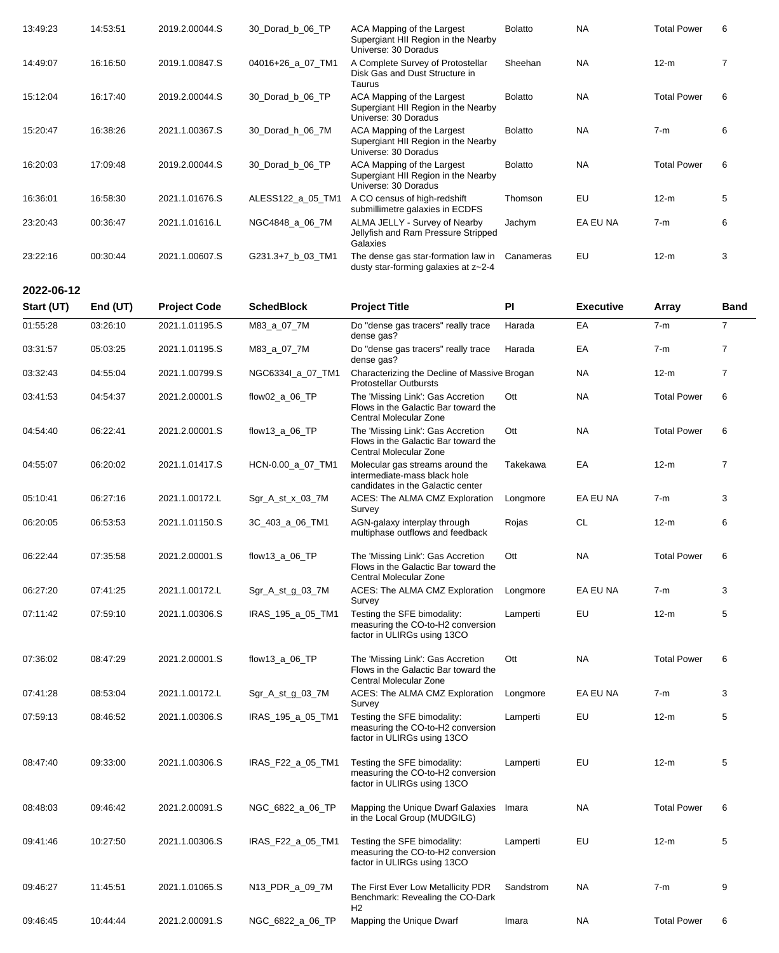| 13:49:23 | 14:53:51 | 2019.2.00044.S | 30_Dorad_b_06_TP  | ACA Mapping of the Largest<br>Supergiant HII Region in the Nearby<br>Universe: 30 Doradus | <b>Bolatto</b> | <b>NA</b> | <b>Total Power</b> | 6 |
|----------|----------|----------------|-------------------|-------------------------------------------------------------------------------------------|----------------|-----------|--------------------|---|
| 14:49:07 | 16:16:50 | 2019.1.00847.S | 04016+26 a 07 TM1 | A Complete Survey of Protostellar<br>Disk Gas and Dust Structure in<br>Taurus             | Sheehan        | <b>NA</b> | $12-m$             |   |
| 15:12:04 | 16:17:40 | 2019.2.00044.S | 30_Dorad_b_06_TP  | ACA Mapping of the Largest<br>Supergiant HII Region in the Nearby<br>Universe: 30 Doradus | <b>Bolatto</b> | <b>NA</b> | <b>Total Power</b> | 6 |
| 15:20:47 | 16:38:26 | 2021.1.00367.S | 30 Dorad h 06 7M  | ACA Mapping of the Largest<br>Supergiant HII Region in the Nearby<br>Universe: 30 Doradus | <b>Bolatto</b> | <b>NA</b> | $7-m$              | 6 |
| 16:20:03 | 17:09:48 | 2019.2.00044.S | 30 Dorad b 06 TP  | ACA Mapping of the Largest<br>Supergiant HII Region in the Nearby<br>Universe: 30 Doradus | <b>Bolatto</b> | <b>NA</b> | <b>Total Power</b> | 6 |
| 16:36:01 | 16:58:30 | 2021.1.01676.S | ALESS122 a 05 TM1 | A CO census of high-redshift<br>submillimetre galaxies in ECDFS                           | Thomson        | EU        | $12-m$             | 5 |
| 23:20:43 | 00:36:47 | 2021.1.01616.L | NGC4848_a_06_7M   | ALMA JELLY - Survey of Nearby<br>Jellyfish and Ram Pressure Stripped<br>Galaxies          | Jachym         | EA EU NA  | $7-m$              | 6 |
| 23:22:16 | 00:30:44 | 2021.1.00607.S | G231.3+7_b_03_TM1 | The dense gas star-formation law in<br>dusty star-forming galaxies at z~2-4               | Canameras      | EU        | $12-m$             | 3 |

| 2022-06-12 |          |                     |                    |                                                                                                       |           |                  |                    |                |
|------------|----------|---------------------|--------------------|-------------------------------------------------------------------------------------------------------|-----------|------------------|--------------------|----------------|
| Start (UT) | End (UT) | <b>Project Code</b> | <b>SchedBlock</b>  | <b>Project Title</b>                                                                                  | PI        | <b>Executive</b> | Array              | <b>Band</b>    |
| 01:55:28   | 03:26:10 | 2021.1.01195.S      | M83_a_07_7M        | Do "dense gas tracers" really trace<br>dense gas?                                                     | Harada    | EA               | $7-m$              | $\overline{7}$ |
| 03:31:57   | 05:03:25 | 2021.1.01195.S      | M83_a_07_7M        | Do "dense gas tracers" really trace<br>dense gas?                                                     | Harada    | EA               | $7-m$              | $\overline{7}$ |
| 03:32:43   | 04:55:04 | 2021.1.00799.S      | NGC6334I_a_07_TM1  | Characterizing the Decline of Massive Brogan<br><b>Protostellar Outbursts</b>                         |           | <b>NA</b>        | $12-m$             | 7              |
| 03:41:53   | 04:54:37 | 2021.2.00001.S      | flow02_a_06_TP     | The 'Missing Link': Gas Accretion<br>Flows in the Galactic Bar toward the<br>Central Molecular Zone   | Ott       | <b>NA</b>        | <b>Total Power</b> | 6              |
| 04:54:40   | 06:22:41 | 2021.2.00001.S      | flow $13 a 06$     | The 'Missing Link': Gas Accretion<br>Flows in the Galactic Bar toward the<br>Central Molecular Zone   | Ott       | <b>NA</b>        | <b>Total Power</b> | 6              |
| 04:55:07   | 06:20:02 | 2021.1.01417.S      | HCN-0.00_a_07_TM1  | Molecular gas streams around the<br>intermediate-mass black hole<br>candidates in the Galactic center | Takekawa  | EA               | $12-m$             | $\overline{7}$ |
| 05:10:41   | 06:27:16 | 2021.1.00172.L      | $Sgr_A_st_x_03_7M$ | ACES: The ALMA CMZ Exploration<br>Survey                                                              | Longmore  | EA EU NA         | $7-m$              | 3              |
| 06:20:05   | 06:53:53 | 2021.1.01150.S      | 3C_403_a_06_TM1    | AGN-galaxy interplay through<br>multiphase outflows and feedback                                      | Rojas     | <b>CL</b>        | $12-m$             | 6              |
| 06:22:44   | 07:35:58 | 2021.2.00001.S      | flow13_a_06_TP     | The 'Missing Link': Gas Accretion<br>Flows in the Galactic Bar toward the<br>Central Molecular Zone   | Ott       | <b>NA</b>        | <b>Total Power</b> | 6              |
| 06:27:20   | 07:41:25 | 2021.1.00172.L      | Sgr_A_st_g_03_7M   | ACES: The ALMA CMZ Exploration<br>Survey                                                              | Longmore  | EA EU NA         | $7-m$              | 3              |
| 07:11:42   | 07:59:10 | 2021.1.00306.S      | IRAS_195_a_05_TM1  | Testing the SFE bimodality:<br>measuring the CO-to-H2 conversion<br>factor in ULIRGs using 13CO       | Lamperti  | EU               | $12-m$             | 5              |
| 07:36:02   | 08:47:29 | 2021.2.00001.S      | flow13_a_06_TP     | The 'Missing Link': Gas Accretion<br>Flows in the Galactic Bar toward the<br>Central Molecular Zone   | Ott       | <b>NA</b>        | <b>Total Power</b> | 6              |
| 07:41:28   | 08:53:04 | 2021.1.00172.L      | $Sgr_A_st_g_03_7M$ | ACES: The ALMA CMZ Exploration<br>Survey                                                              | Longmore  | EA EU NA         | $7-m$              | 3              |
| 07:59:13   | 08:46:52 | 2021.1.00306.S      | IRAS_195_a_05_TM1  | Testing the SFE bimodality:<br>measuring the CO-to-H2 conversion<br>factor in ULIRGs using 13CO       | Lamperti  | EU               | $12-m$             | 5              |
| 08:47:40   | 09:33:00 | 2021.1.00306.S      | IRAS_F22_a_05_TM1  | Testing the SFE bimodality:<br>measuring the CO-to-H2 conversion<br>factor in ULIRGs using 13CO       | Lamperti  | EU               | $12-m$             | 5              |
| 08:48:03   | 09:46:42 | 2021.2.00091.S      | NGC_6822_a_06_TP   | Mapping the Unique Dwarf Galaxies<br>in the Local Group (MUDGILG)                                     | Imara     | NA               | <b>Total Power</b> | 6              |
| 09:41:46   | 10:27:50 | 2021.1.00306.S      | IRAS_F22_a_05_TM1  | Testing the SFE bimodality:<br>measuring the CO-to-H2 conversion<br>factor in ULIRGs using 13CO       | Lamperti  | EU               | $12-m$             | 5              |
| 09:46:27   | 11:45:51 | 2021.1.01065.S      | N13_PDR_a_09_7M    | The First Ever Low Metallicity PDR<br>Benchmark: Revealing the CO-Dark<br>H2                          | Sandstrom | <b>NA</b>        | $7-m$              | 9              |
| 09:46:45   | 10:44:44 | 2021.2.00091.S      | NGC_6822_a_06_TP   | Mapping the Unique Dwarf                                                                              | Imara     | <b>NA</b>        | <b>Total Power</b> | 6              |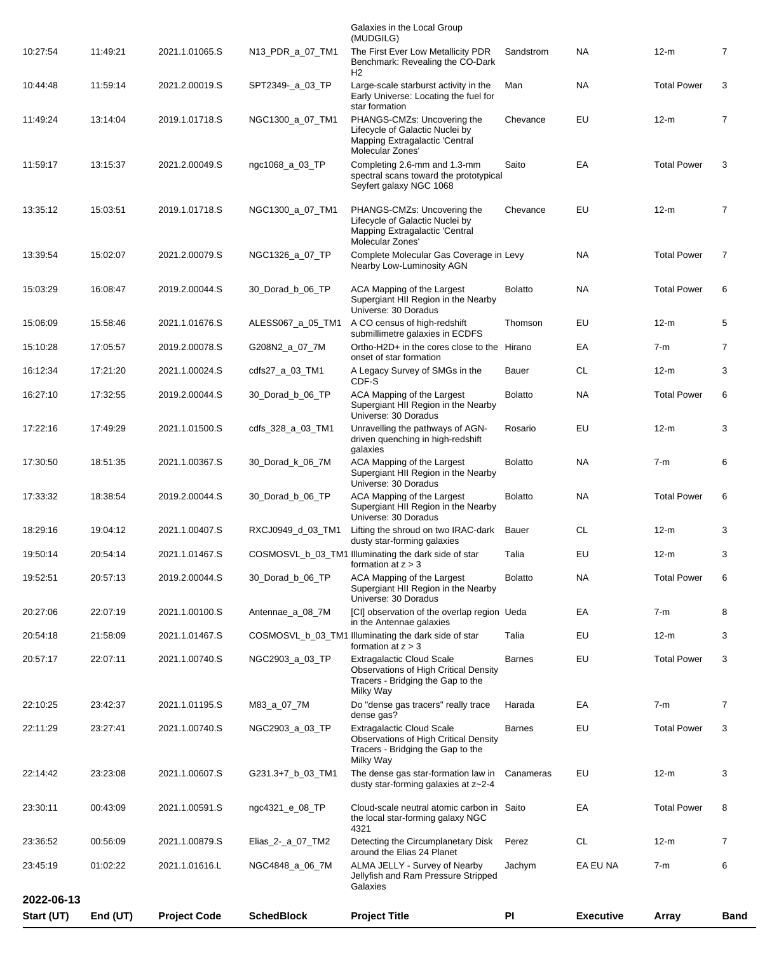| Start (UT) | End (UT) | <b>Project Code</b> | <b>SchedBlock</b> | <b>Project Title</b>                                                                                                               | <b>PI</b>      | <b>Executive</b> | <b>Array</b>       | <b>Band</b> |
|------------|----------|---------------------|-------------------|------------------------------------------------------------------------------------------------------------------------------------|----------------|------------------|--------------------|-------------|
| 2022-06-13 |          |                     |                   | Galaxies                                                                                                                           |                |                  |                    |             |
| 23:45:19   | 01:02:22 | 2021.1.01616.L      | NGC4848_a_06_7M   | ALMA JELLY - Survey of Nearby<br>Jellyfish and Ram Pressure Stripped                                                               | Jachym         | EA EU NA         | $7-m$              | 6           |
| 23:36:52   | 00:56:09 | 2021.1.00879.S      | Elias 2- a 07_TM2 | Detecting the Circumplanetary Disk<br>around the Elias 24 Planet                                                                   | Perez          | <b>CL</b>        | $12-m$             | 7           |
| 23:30:11   | 00:43:09 | 2021.1.00591.S      | ngc4321_e_08_TP   | Cloud-scale neutral atomic carbon in Saito<br>the local star-forming galaxy NGC<br>4321                                            |                | EA               | <b>Total Power</b> | 8           |
| 22:14:42   | 23:23:08 | 2021.1.00607.S      | G231.3+7_b_03_TM1 | The dense gas star-formation law in<br>dusty star-forming galaxies at z~2-4                                                        | Canameras      | EU               | $12-m$             | 3           |
| 22:11:29   | 23:27:41 | 2021.1.00740.S      | NGC2903_a_03_TP   | <b>Extragalactic Cloud Scale</b><br><b>Observations of High Critical Density</b><br>Tracers - Bridging the Gap to the<br>Milky Way | <b>Barnes</b>  | EU               | <b>Total Power</b> | 3           |
| 22:10:25   | 23:42:37 | 2021.1.01195.S      | M83_a_07_7M       | Do "dense gas tracers" really trace<br>dense gas?                                                                                  | Harada         | EA               | $7-m$              | 7           |
| 20:57:17   | 22:07:11 | 2021.1.00740.S      | NGC2903_a_03_TP   | <b>Extragalactic Cloud Scale</b><br>Observations of High Critical Density<br>Tracers - Bridging the Gap to the<br>Milky Way        | <b>Barnes</b>  | EU               | <b>Total Power</b> | 3           |
| 20:54:18   | 21:58:09 | 2021.1.01467.S      |                   | COSMOSVL_b_03_TM1 Illuminating the dark side of star<br>formation at $z > 3$                                                       | Talia          | EU               | $12-m$             | 3           |
| 20:27:06   | 22:07:19 | 2021.1.00100.S      | Antennae_a_08_7M  | [CI] observation of the overlap region Ueda<br>in the Antennae galaxies                                                            |                | EA               | $7-m$              | 8           |
| 19:52:51   | 20:57:13 | 2019.2.00044.S      | 30_Dorad_b_06_TP  | ACA Mapping of the Largest<br>Supergiant HII Region in the Nearby<br>Universe: 30 Doradus                                          | <b>Bolatto</b> | <b>NA</b>        | <b>Total Power</b> | 6           |
| 19:50:14   | 20:54:14 | 2021.1.01467.S      |                   | COSMOSVL_b_03_TM1 Illuminating the dark side of star<br>formation at $z > 3$                                                       | Talia          | EU               | $12-m$             | 3           |
| 18:29:16   | 19:04:12 | 2021.1.00407.S      |                   | RXCJ0949_d_03_TM1 Lifting the shroud on two IRAC-dark Bauer<br>dusty star-forming galaxies                                         |                | <b>CL</b>        | $12-m$             |             |
| 17:33:32   | 18:38:54 | 2019.2.00044.S      | 30_Dorad_b_06_TP  | ACA Mapping of the Largest<br>Supergiant HII Region in the Nearby<br>Universe: 30 Doradus                                          | <b>Bolatto</b> | NA.              | <b>Total Power</b> | 6           |
| 17:30:50   | 18:51:35 | 2021.1.00367.S      | 30_Dorad_k_06_7M  | galaxies<br>ACA Mapping of the Largest<br>Supergiant HII Region in the Nearby<br>Universe: 30 Doradus                              | <b>Bolatto</b> | NA.              | $7-m$              | 6           |
| 17:22:16   | 17:49:29 | 2021.1.01500.S      | cdfs_328_a_03_TM1 | Unravelling the pathways of AGN-<br>driven quenching in high-redshift                                                              | Rosario        | EU               | $12-m$             | 3           |
| 16:27:10   | 17:32:55 | 2019.2.00044.S      | 30_Dorad_b_06_TP  | ACA Mapping of the Largest<br>Supergiant HII Region in the Nearby<br>Universe: 30 Doradus                                          | <b>Bolatto</b> | <b>NA</b>        | <b>Total Power</b> | 6           |
| 16:12:34   | 17:21:20 | 2021.1.00024.S      | cdfs27_a_03_TM1   | A Legacy Survey of SMGs in the<br>CDF-S                                                                                            | Bauer          | CL               | $12-m$             | 3           |
| 15:10:28   | 17:05:57 | 2019.2.00078.S      | G208N2_a_07_7M    | submillimetre galaxies in ECDFS<br>Ortho-H2D+ in the cores close to the Hirano<br>onset of star formation                          |                | EA               | $7-m$              | 7           |
| 15:06:09   | 15:58:46 | 2021.1.01676.S      | ALESS067_a_05_TM1 | Universe: 30 Doradus<br>A CO census of high-redshift                                                                               | Thomson        | EU               | $12-m$             | 5           |
| 15:03:29   | 16:08:47 | 2019.2.00044.S      | 30 Dorad b 06 TP  | Nearby Low-Luminosity AGN<br>ACA Mapping of the Largest<br>Supergiant HII Region in the Nearby                                     | <b>Bolatto</b> | NA.              | <b>Total Power</b> | 6           |
| 13:39:54   | 15:02:07 | 2021.2.00079.S      | NGC1326_a_07_TP   | Mapping Extragalactic 'Central<br>Molecular Zones'<br>Complete Molecular Gas Coverage in Levy                                      |                | <b>NA</b>        | <b>Total Power</b> | 7           |
| 13:35:12   | 15:03:51 | 2019.1.01718.S      | NGC1300_a_07_TM1  | PHANGS-CMZs: Uncovering the<br>Lifecycle of Galactic Nuclei by                                                                     | Chevance       | EU               | $12-m$             | 7           |
| 11:59:17   | 13:15:37 | 2021.2.00049.S      | ngc1068_a_03_TP   | Completing 2.6-mm and 1.3-mm<br>spectral scans toward the prototypical<br>Seyfert galaxy NGC 1068                                  | Saito          | EA               | <b>Total Power</b> | 3           |
| 11:49:24   | 13:14:04 | 2019.1.01718.S      | NGC1300_a_07_TM1  | PHANGS-CMZs: Uncovering the<br>Lifecycle of Galactic Nuclei by<br>Mapping Extragalactic 'Central<br>Molecular Zones'               | Chevance       | EU               | $12-m$             | 7           |
| 10:44:48   | 11:59:14 | 2021.2.00019.S      | SPT2349-_a_03_TP  | Large-scale starburst activity in the<br>Early Universe: Locating the fuel for<br>star formation                                   | Man            | NA.              | <b>Total Power</b> | 3           |
| 10:27:54   | 11:49:21 | 2021.1.01065.S      | N13_PDR_a_07_TM1  | The First Ever Low Metallicity PDR<br>Benchmark: Revealing the CO-Dark<br>H <sub>2</sub>                                           | Sandstrom      | NA.              | $12-m$             | 7           |
|            |          |                     |                   | Galaxies in the Local Group<br>(MUDGILG)                                                                                           |                |                  |                    |             |